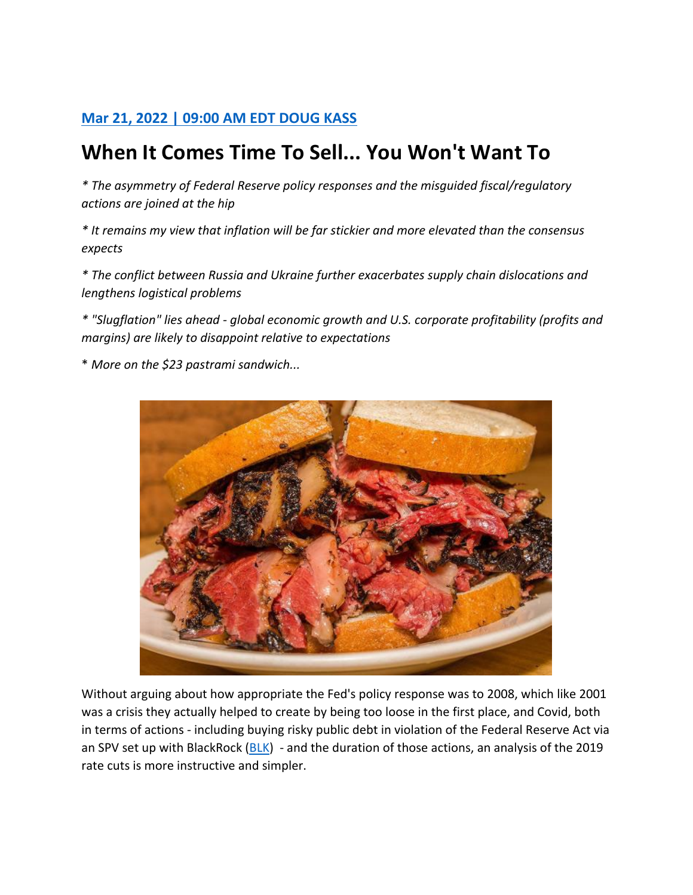## **[Mar 21, 2022 | 09:00 AM EDT](https://realmoney.thestreet.com/author/1358076/doug-kass/all.html) DOUG KASS**

## **When It Comes Time To Sell... You Won't Want To**

*\* The asymmetry of Federal Reserve policy responses and the misguided fiscal/regulatory actions are joined at the hip*

*\* It remains my view that inflation will be far stickier and more elevated than the consensus expects*

*\* The conflict between Russia and Ukraine further exacerbates supply chain dislocations and lengthens logistical problems*

*\* "Slugflation" lies ahead - global economic growth and U.S. corporate profitability (profits and margins) are likely to disappoint relative to expectations*

\* *More on the \$23 pastrami sandwich...*



Without arguing about how appropriate the Fed's policy response was to 2008, which like 2001 was a crisis they actually helped to create by being too loose in the first place, and Covid, both in terms of actions - including buying risky public debt in violation of the Federal Reserve Act via an SPV set up with BlackRock [\(BLK\)](https://realmoney.thestreet.com/quote/BLK.html) - and the duration of those actions, an analysis of the 2019 rate cuts is more instructive and simpler.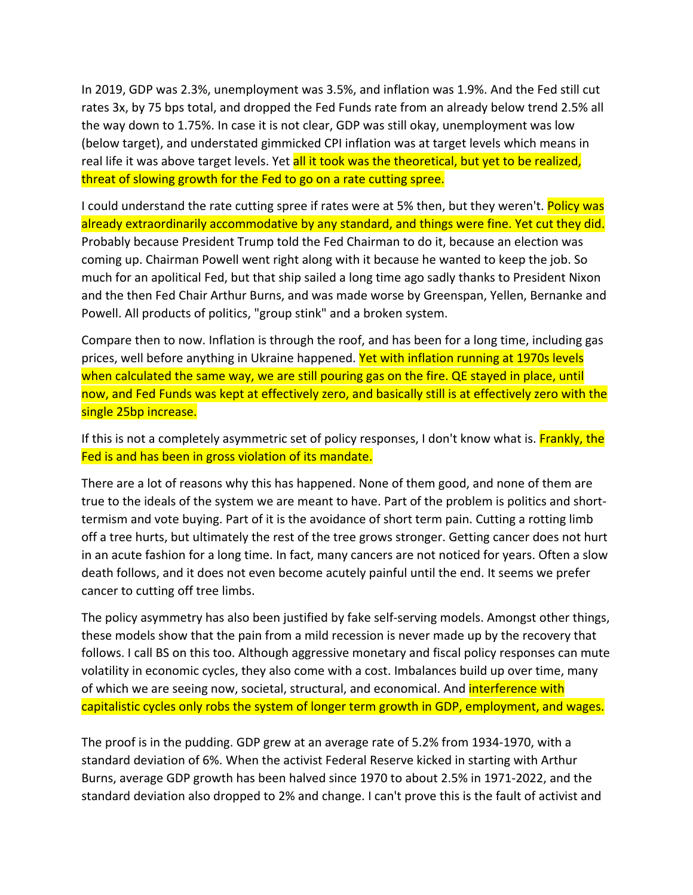In 2019, GDP was 2.3%, unemployment was 3.5%, and inflation was 1.9%. And the Fed still cut rates 3x, by 75 bps total, and dropped the Fed Funds rate from an already below trend 2.5% all the way down to 1.75%. In case it is not clear, GDP was still okay, unemployment was low (below target), and understated gimmicked CPI inflation was at target levels which means in real life it was above target levels. Yet all it took was the theoretical, but yet to be realized, threat of slowing growth for the Fed to go on a rate cutting spree.

I could understand the rate cutting spree if rates were at 5% then, but they weren't. Policy was already extraordinarily accommodative by any standard, and things were fine. Yet cut they did. Probably because President Trump told the Fed Chairman to do it, because an election was coming up. Chairman Powell went right along with it because he wanted to keep the job. So much for an apolitical Fed, but that ship sailed a long time ago sadly thanks to President Nixon and the then Fed Chair Arthur Burns, and was made worse by Greenspan, Yellen, Bernanke and Powell. All products of politics, "group stink" and a broken system.

Compare then to now. Inflation is through the roof, and has been for a long time, including gas prices, well before anything in Ukraine happened. Yet with inflation running at 1970s levels when calculated the same way, we are still pouring gas on the fire. QE stayed in place, until now, and Fed Funds was kept at effectively zero, and basically still is at effectively zero with the single 25bp increase.

If this is not a completely asymmetric set of policy responses, I don't know what is. **Frankly, the** Fed is and has been in gross violation of its mandate.

There are a lot of reasons why this has happened. None of them good, and none of them are true to the ideals of the system we are meant to have. Part of the problem is politics and shorttermism and vote buying. Part of it is the avoidance of short term pain. Cutting a rotting limb off a tree hurts, but ultimately the rest of the tree grows stronger. Getting cancer does not hurt in an acute fashion for a long time. In fact, many cancers are not noticed for years. Often a slow death follows, and it does not even become acutely painful until the end. It seems we prefer cancer to cutting off tree limbs.

The policy asymmetry has also been justified by fake self-serving models. Amongst other things, these models show that the pain from a mild recession is never made up by the recovery that follows. I call BS on this too. Although aggressive monetary and fiscal policy responses can mute volatility in economic cycles, they also come with a cost. Imbalances build up over time, many of which we are seeing now, societal, structural, and economical. And interference with capitalistic cycles only robs the system of longer term growth in GDP, employment, and wages.

The proof is in the pudding. GDP grew at an average rate of 5.2% from 1934-1970, with a standard deviation of 6%. When the activist Federal Reserve kicked in starting with Arthur Burns, average GDP growth has been halved since 1970 to about 2.5% in 1971-2022, and the standard deviation also dropped to 2% and change. I can't prove this is the fault of activist and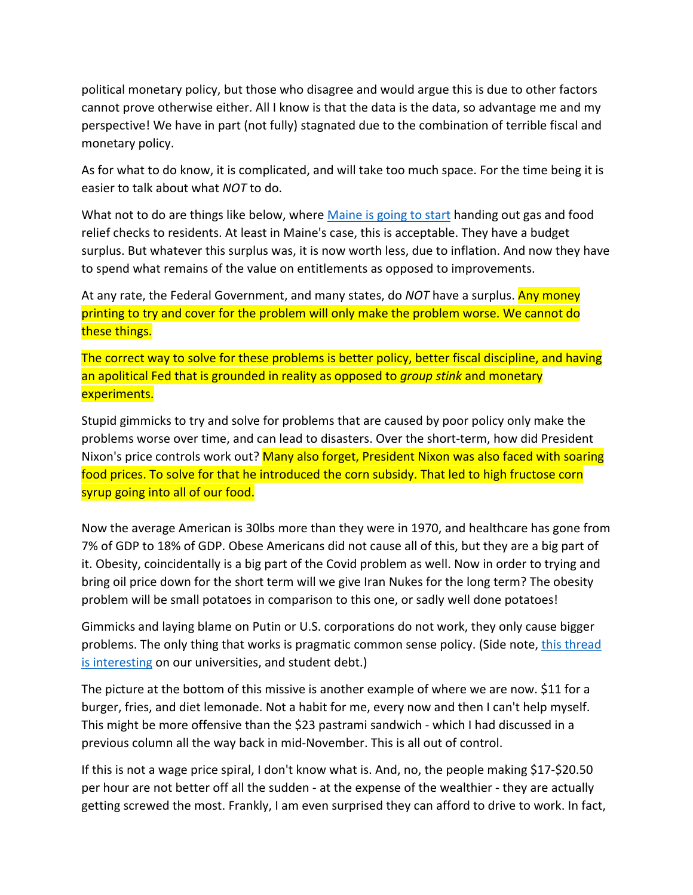political monetary policy, but those who disagree and would argue this is due to other factors cannot prove otherwise either. All I know is that the data is the data, so advantage me and my perspective! We have in part (not fully) stagnated due to the combination of terrible fiscal and monetary policy.

As for what to do know, it is complicated, and will take too much space. For the time being it is easier to talk about what *NOT* to do.

What not to do are things like below, where [Maine is going to start](https://bangordailynews.com/2022/03/18/politics/janet-mills-boosts-relief-checks-and-adds-60m-for-pfas-fight-in-latest-spending-proposal/) handing out gas and food relief checks to residents. At least in Maine's case, this is acceptable. They have a budget surplus. But whatever this surplus was, it is now worth less, due to inflation. And now they have to spend what remains of the value on entitlements as opposed to improvements.

At any rate, the Federal Government, and many states, do *NOT* have a surplus. Any money printing to try and cover for the problem will only make the problem worse. We cannot do these things.

The correct way to solve for these problems is better policy, better fiscal discipline, and having an apolitical Fed that is grounded in reality as opposed to *group stink* and monetary experiments.

Stupid gimmicks to try and solve for problems that are caused by poor policy only make the problems worse over time, and can lead to disasters. Over the short-term, how did President Nixon's price controls work out? Many also forget, President Nixon was also faced with soaring food prices. To solve for that he introduced the corn subsidy. That led to high fructose corn syrup going into all of our food.

Now the average American is 30lbs more than they were in 1970, and healthcare has gone from 7% of GDP to 18% of GDP. Obese Americans did not cause all of this, but they are a big part of it. Obesity, coincidentally is a big part of the Covid problem as well. Now in order to trying and bring oil price down for the short term will we give Iran Nukes for the long term? The obesity problem will be small potatoes in comparison to this one, or sadly well done potatoes!

Gimmicks and laying blame on Putin or U.S. corporations do not work, they only cause bigger problems. The only thing that works is pragmatic common sense policy. (Side note, [this thread](https://twitter.com/sama/status/1505597901011005442?s=12)  [is interesting](https://twitter.com/sama/status/1505597901011005442?s=12) on our universities, and student debt.)

The picture at the bottom of this missive is another example of where we are now. \$11 for a burger, fries, and diet lemonade. Not a habit for me, every now and then I can't help myself. This might be more offensive than the \$23 pastrami sandwich - which I had discussed in a previous column all the way back in mid-November. This is all out of control.

If this is not a wage price spiral, I don't know what is. And, no, the people making \$17-\$20.50 per hour are not better off all the sudden - at the expense of the wealthier - they are actually getting screwed the most. Frankly, I am even surprised they can afford to drive to work. In fact,